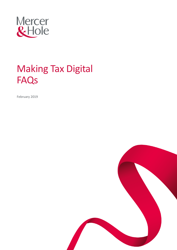

# Making Tax Digital **FAQs**

February 2019

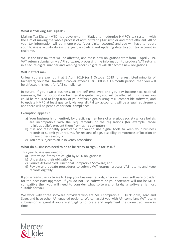## **What is "Making Tax Digital"?**

Making Tax Digital (MTD) is a government initiative to modernise HMRC's tax system, with the aim of making the whole process of administrating tax simpler and more efficient. All of your tax information will be in one place (your digital account) and you will have to report your business activity during the year, uploading and updating data to your tax account in real time.

VAT is the first tax that will be affected, and these new obligations start from 1 April 2019. VAT return submission via API software, processing the information to produce VAT returns in a secure digital manner and keeping records digitally will all become new obligations.

## **Will it affect me?**

Unless you are exempt, if at 1 April 2019 (or 1 October 2019 for a restricted minority of taxpayers) your VAT taxable turnover exceeds £85,000 in a 12-month period, then you will be affected this year, for VAT compliance.

In future, if you own a business, or are self-employed and you pay income tax, national insurance, VAT or corporation tax then it is quite likely you will be affected. This means you could be required to keep track of your affairs digitally using MTD compatible software, and to update HMRC at least quarterly via your digital tax account. It will be a legal requirement and there will be penalties for non- compliance.

Exemption applies if:

- a) Your business is run entirely by practicing members of a religious society whose beliefs are incompatible with the requirements of the regulations (for example, those religious beliefs prevent them from using computers);
- b) It is not reasonably practicable for you to use digital tools to keep your business records or submit your returns, for reasons of age, disability, remoteness of location or for any other reason; or
- c) You are subject to an insolvency procedure

## **What do businesses need to do to be ready to sign up for MTD?**

This year businesses need to:

- a) Determine if they are caught by MTD obligations;
- b) Understand their obligations;
- c) Source API-enabled Functional Compatible Software; and
- d) Review and update procedures to submit VAT returns, process VAT returns and keep records digitally.

If you already use software to keep your business records, check with your software provider for the necessary upgrades. If you do not use software or your software will not be MTDcompatible then you will need to consider what software, or bridging software, is most suitable for you.

We work with three software providers who are MTD compatible – QuickBooks, Xero and Sage, and have other API enabled options. We can assist you with API compliant VAT return submission as agent if you are struggling to locate and implement the correct software in time.

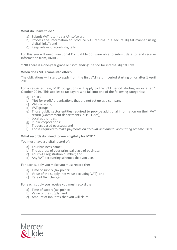## **What do I have to do?**

- a) Submit VAT returns via API software;
- b) Process the information to produce VAT returns in a secure digital manner using digital links\*; and
- c) Keep relevant records digitally.

For this you will need Functional Compatible Software able to submit data to, and receive information from, HMRC.

\* NB There is a one-year grace or "soft landing" period for internal digital links.

## **When does MTD come into effect?**

The obligations will start to apply from the first VAT return period starting on or after 1 April 2019.

For a restricted few, MTD obligations will apply to the VAT period starting on or after 1 October 2019. This applies to taxpayers who fall into one of the following categories:

- a) Trusts;
- b) 'Not for profit' organisations that are not set up as a company;
- c) VAT divisions;
- d) VAT groups;
- e) Those public sector entities required to provide additional information on their VAT return (Government departments, NHS Trusts);
- f) Local authorities;
- g) Public corporations;
- h) Traders based overseas; and
- i) Those required to make payments *on account and annual accounting scheme users.*

## **What records do I need to keep digitally for MTD?**

You must have a digital record of:

- a) Your business name;
- b) The address of your principal place of business;
- c) Your VAT registration number; and
- d) Any VAT accounting schemes that you use.

For each supply you make you must record the:

- a) Time of supply (tax point);
- b) Value of the supply (net value excluding VAT); and
- c) Rate of VAT charged.

For each supply you receive you must record the:

- a) Time of supply (tax point);
- b) Value of the supply; and
- c) Amount of input tax that you will claim.

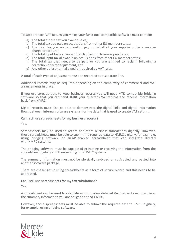To support each VAT Return you make, your functional compatible software must contain:

- a) The total output tax you owe on sales;
- b) The total tax you owe on acquisitions from other EU member states;
- c) The total tax you are required to pay on behalf of your supplier under a reverse charge procedure;
- d) The total input tax you are entitled to claim on business purchases;
- e) The total input tax allowable on acquisitions from other EU member states;
- f) The total tax that needs to be paid or you are entitled to reclaim following a correction or error adjustment, and
- g) Any other adjustment allowed or required by VAT rules.

A total of each type of adjustment must be recorded as a separate line.

Additional records may be required depending on the complexity of commercial and VAT arrangements in place.

If you use spreadsheets to keep business records you will need MTD-compatible bridging software so that you can send HMRC your quarterly VAT returns and receive information back from HMRC.

Digital records must also be able to demonstrate the digital links and digital information flows between internal software systems, for the data that is used to create VAT returns.

#### **Can I still use spreadsheets for my business records?**

Yes.

Spreadsheets may be used to record and store business transactions digitally. However, those spreadsheets must be able to submit the required data to HMRC digitally, for example, using bridging software or an API enabled spreadsheet that can integrate directly with HMRC systems.

The bridging software must be capable of extracting or receiving the information from the spreadsheet digitally and then sending it to HMRC systems.

The summary information must not be physically re-typed or cut/copied and pasted into another software package.

There are challenges in using spreadsheets as a form of secure record and this needs to be addressed.

#### **Can I still use spreadsheets for my tax calculations?**

Yes.

A spreadsheet can be used to calculate or summarise detailed VAT transactions to arrive at the summary information you are obliged to send HMRC.

However, those spreadsheets must be able to submit the required data to HMRC digitally, for example, using bridging software.